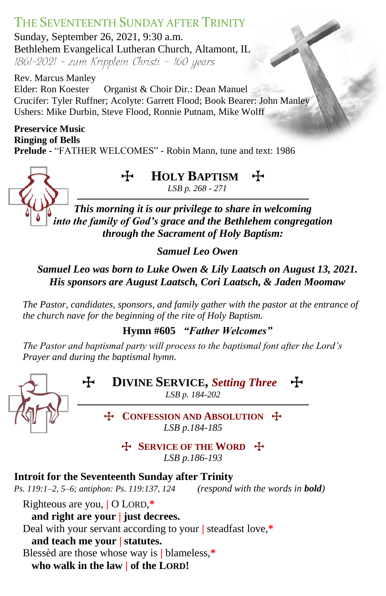# THE SEVENTEENTH SUNDAY AFTER TRINITY

Sunday, September 26, 2021, 9:30 a.m. Bethlehem Evangelical Lutheran Church, Altamont, IL 1861-2021 - zum Kripplein Christi - 160 years

Rev. Marcus Manley Elder: Ron Koester Organist & Choir Dir.: Dean Manuel Crucifer: Tyler Ruffner; Acolyte: Garrett Flood; Book Bearer: John Manley Ushers: Mike Durbin, Steve Flood, Ronnie Putnam, Mike Wolff

# **Preservice Music Ringing of Bells**

**Prelude -** "FATHER WELCOMES" - Robin Mann, tune and text: 1986



T **HOLY BAPTISM** T

*LSB p. 268 - 271*

*This morning it is our privilege to share in welcoming into the family of God's grace and the Bethlehem congregation through the Sacrament of Holy Baptism:*

*Samuel Leo Owen*

# *Samuel Leo was born to Luke Owen & Lily Laatsch on August 13, 2021. His sponsors are August Laatsch, Cori Laatsch, & Jaden Moomaw*

*The Pastor, candidates, sponsors, and family gather with the pastor at the entrance of the church nave for the beginning of the rite of Holy Baptism.*  

**Hymn #605** *"Father Welcomes"*

*The Pastor and baptismal party will process to the baptismal font after the Lord's Prayer and during the baptismal hymn.* 



T **SERVICE OF THE WORD** T *LSB p.186-193*

# **Introit for the Seventeenth Sunday after Trinity**

*Ps. 119:1–2, 5–6; antiphon: Ps. 119:137, 124 (respond with the words in bold)*

Righteous are you, **|** O LORD,**\* and right are your | just decrees.** Deal with your servant according to your **|** steadfast love,**\* and teach me your | statutes.** Blessèd are those whose way is **|** blameless,**\* who walk in the law | of the LORD!**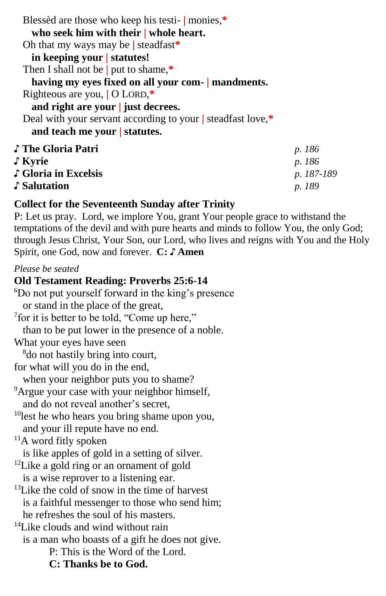Blessèd are those who keep his testi- **|** monies,**\* who seek him with their | whole heart.** Oh that my ways may be **|** steadfast**\* in keeping your | statutes!** Then I shall not be **|** put to shame,**\* having my eyes fixed on all your com- | mandments.** Righteous are you, **|** O LORD,**\* and right are your | just decrees.** Deal with your servant according to your **|** steadfast love,**\* and teach me your | statutes.** ♪ **The Gloria Patri** *p. 186* ♪ **Kyrie** *p. 186* ♪ **Gloria in Excelsis** *p. 187-189*

♪ **Salutation** *p. 189*

## **Collect for the Seventeenth Sunday after Trinity**

P: Let us pray. Lord, we implore You, grant Your people grace to withstand the temptations of the devil and with pure hearts and minds to follow You, the only God; through Jesus Christ, Your Son, our Lord, who lives and reigns with You and the Holy Spirit, one God, now and forever. **C: ♪ Amen**

#### *Please be seated*

#### **Old Testament Reading: Proverbs 25:6-14**

<sup>6</sup>Do not put yourself forward in the king's presence or stand in the place of the great, 7 for it is better to be told, "Come up here," than to be put lower in the presence of a noble. What your eyes have seen <sup>8</sup>do not hastily bring into court, for what will you do in the end, when your neighbor puts you to shame? <sup>9</sup>Argue your case with your neighbor himself, and do not reveal another's secret,  $10$ lest he who hears you bring shame upon you, and your ill repute have no end.  $11A$  word fitly spoken is like apples of gold in a setting of silver. <sup>12</sup>Like a gold ring or an ornament of gold is a wise reprover to a listening ear.  $^{13}$ Like the cold of snow in the time of harvest is a faithful messenger to those who send him; he refreshes the soul of his masters. <sup>14</sup>Like clouds and wind without rain is a man who boasts of a gift he does not give. P: This is the Word of the Lord. **C: Thanks be to God.**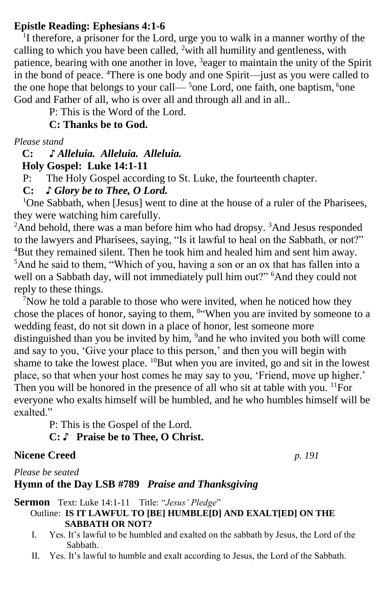## **Epistle Reading: Ephesians 4:1-6**

<sup>1</sup>I therefore, a prisoner for the Lord, urge you to walk in a manner worthy of the calling to which you have been called, <sup>2</sup>with all humility and gentleness, with patience, bearing with one another in love, <sup>3</sup>eager to maintain the unity of the Spirit in the bond of peace. <sup>4</sup>There is one body and one Spirit—just as you were called to the one hope that belongs to your call— $5$ one Lord, one faith, one baptism,  $6$ one God and Father of all, who is over all and through all and in all..

P: This is the Word of the Lord.

**C: Thanks be to God.**

*Please stand*

#### **C: ♪** *Alleluia. Alleluia. Alleluia.*  **Holy Gospel: Luke 14:1-11**

P: The Holy Gospel according to St. Luke, the fourteenth chapter.

## **C:** *♪ Glory be to Thee, O Lord.*

<sup>1</sup>One Sabbath, when [Jesus] went to dine at the house of a ruler of the Pharisees, they were watching him carefully.

<sup>2</sup>And behold, there was a man before him who had dropsy. <sup>3</sup>And Jesus responded to the lawyers and Pharisees, saying, "Is it lawful to heal on the Sabbath, or not?" <sup>4</sup>But they remained silent. Then he took him and healed him and sent him away. <sup>5</sup>And he said to them, "Which of you, having a son or an ox that has fallen into a well on a Sabbath day, will not immediately pull him out?" <sup>6</sup>And they could not reply to these things.

 $\sqrt{7}$ Now he told a parable to those who were invited, when he noticed how they chose the places of honor, saying to them, <sup>8"</sup>When you are invited by someone to a wedding feast, do not sit down in a place of honor, lest someone more distinguished than you be invited by him, <sup>9</sup> and he who invited you both will come and say to you, 'Give your place to this person,' and then you will begin with shame to take the lowest place. <sup>10</sup>But when you are invited, go and sit in the lowest place, so that when your host comes he may say to you, 'Friend, move up higher.' Then you will be honored in the presence of all who sit at table with you. <sup>11</sup>For everyone who exalts himself will be humbled, and he who humbles himself will be exalted."

P: This is the Gospel of the Lord.

# **C:** ♪ **Praise be to Thee, O Christ.**

## **Nicene Creed** *p. 191*

*Please be seated*

## **Hymn of the Day LSB #789** *Praise and Thanksgiving*

**Sermon** Text: Luke 14:1-11 Title: "*Jesus' Pledge*"

## Outline: **IS IT LAWFUL TO [BE] HUMBLE[D] AND EXALT[ED] ON THE SABBATH OR NOT?**

- I. Yes. It's lawful to be humbled and exalted on the sabbath by Jesus, the Lord of the Sabbath.
- II. Yes. It's lawful to humble and exalt according to Jesus, the Lord of the Sabbath.